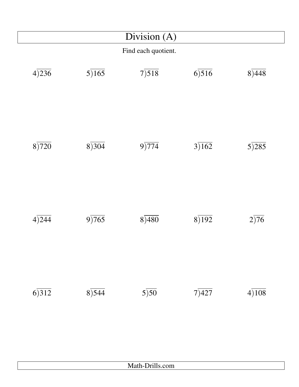|       |       | Division $(A)$      |       |                   |
|-------|-------|---------------------|-------|-------------------|
|       |       | Find each quotient. |       |                   |
| 4)236 | 5)165 | 7)518               | 6)516 | 8)448             |
| 8)720 | 8)304 | 9)774               | 3)162 | 5)285             |
| 4)244 | 9)765 | 8)480               | 8)192 | $2\overline{)76}$ |
| 6)312 | 8)544 | $5\overline{)50}$   | 7)427 | 4)108             |
|       |       | Math-Drills.com     |       |                   |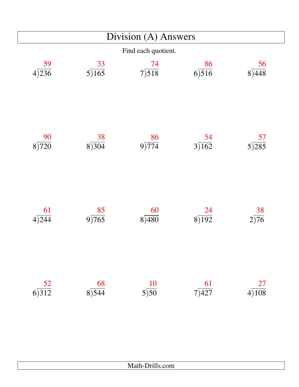|                  | Division (A) Answers             |                     |                               |                              |  |  |
|------------------|----------------------------------|---------------------|-------------------------------|------------------------------|--|--|
|                  |                                  | Find each quotient. |                               |                              |  |  |
| $rac{59}{4)236}$ | 33<br>5)165                      | $\frac{74}{7}$      | 86<br>6)516                   | 56<br>8)448                  |  |  |
| 90<br>8)720      | 38<br>8)304                      | $\frac{86}{9)774}$  | $rac{54}{3)162}$              | $rac{57}{5}$                 |  |  |
| 61<br>4)244      | 85<br>9)765                      | 60<br>8)480         | $\frac{24}{8\overline{)192}}$ | $\frac{38}{2\overline{)76}}$ |  |  |
| $rac{52}{6}$     | $rac{68}{8}$<br>$\frac{68}{544}$ | $rac{10}{5}$        | $\frac{61}{7)427}$            | $rac{27}{4)108}$             |  |  |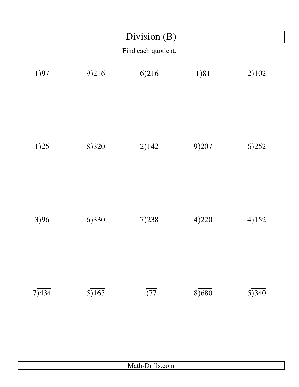|                   | Division (B) |                     |                   |       |  |  |
|-------------------|--------------|---------------------|-------------------|-------|--|--|
|                   |              | Find each quotient. |                   |       |  |  |
| $1\overline{)97}$ | 9)216        | 6)216               | $1\overline{)81}$ | 2)102 |  |  |
| $1\overline{)25}$ | 8)320        | 2)142               | 9)207             | 6)252 |  |  |
| 3)96              | 6)330        | 7)238               | 4)220             | 4)152 |  |  |
| 7)434             | 5)165        | $1\overline{)77}$   | 8)680             | 5)340 |  |  |
|                   |              | Math-Drills.com     |                   |       |  |  |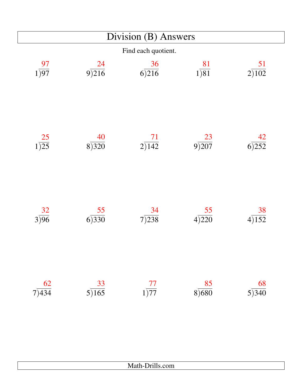|                         |                                  | $\overline{Division}$ (B) Answers |                         |             |
|-------------------------|----------------------------------|-----------------------------------|-------------------------|-------------|
|                         |                                  | Find each quotient.               |                         |             |
| 97<br>$1\overline{)97}$ | $\frac{24}{9}$<br>9)216          | 36<br>6)216                       | $\frac{81}{1)81}$       | 51<br>2)102 |
| $\frac{25}{1)25}$       | 40<br>8)320                      | $\frac{71}{2}$                    | $\frac{23}{9}$<br>207   | 42<br>6)252 |
| $rac{32}{3)96}$         | 55<br>6)330                      | 34<br>7)238                       | 55<br>4)220             | 38<br>4)152 |
| $rac{62}{7)434}$        | $rac{33}{5}$<br>$\frac{33}{165}$ | $\frac{77}{1)77}$                 | $\frac{85}{1}$<br>8)680 | 68<br>5)340 |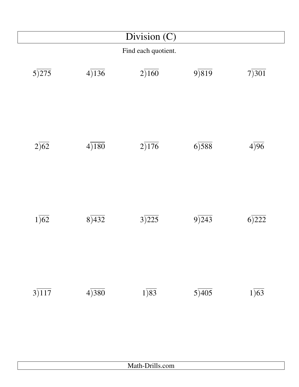|                    | Division (C) |                         |       |                   |  |
|--------------------|--------------|-------------------------|-------|-------------------|--|
|                    |              | Find each quotient.     |       |                   |  |
| $5\overline{)275}$ | 4)136        | 2)160                   | 9)819 | 7)301             |  |
| $2\overline{)62}$  | 4)180        | 2)176                   | 6)588 | 4)96              |  |
| $1\overline{)62}$  | 8)432        | 3)225                   | 9)243 | 6)222             |  |
| 3)117              | 4)380        | $1\overline{\smash)83}$ | 5)405 | $1\overline{)63}$ |  |
|                    |              |                         |       |                   |  |
|                    |              | Math-Drills.com         |       |                   |  |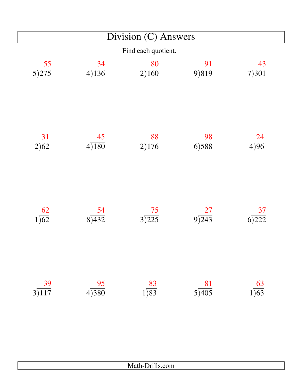|                                    |                     | Division (C) Answers    |                             |                         |  |  |
|------------------------------------|---------------------|-------------------------|-----------------------------|-------------------------|--|--|
|                                    | Find each quotient. |                         |                             |                         |  |  |
| $rac{55}{5}$<br>5)275              | 34<br>4)136         | 80<br>2)160             | 9)819                       | 43<br>7)301             |  |  |
| $\frac{31}{2)62}$                  | 45<br>4)180         | $\frac{88}{2)176}$      | $rac{98}{6)588}$            | $rac{24}{4)96}$         |  |  |
| $\frac{62}{1)62}$                  | $rac{54}{8)432}$    | $\frac{75}{1}$<br>3)225 | $\frac{27}{9}$<br>9)<br>243 | $\frac{37}{1}$<br>6)222 |  |  |
| $\frac{39}{3}$<br>$\frac{39}{117}$ | $\frac{95}{4)380}$  | $\frac{83}{1)83}$       | $rac{81}{5)405}$            | $rac{63}{1)63}$         |  |  |

| - |
|---|
|   |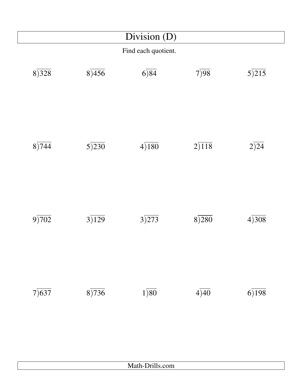| Division (D) |       |                     |       |       |
|--------------|-------|---------------------|-------|-------|
|              |       | Find each quotient. |       |       |
| 8)328        | 8)456 | 6)84                | 7)98  | 5)215 |
| 8)744        | 5)230 | 4)180               | 2)118 | 2)24  |
| 9)702        | 3)129 | 3)273               | 8)280 | 4)308 |
| 7)637        | 8)736 | $1\overline{)80}$   | 4)40  | 6)198 |
|              |       | Math-Drills.com     |       |       |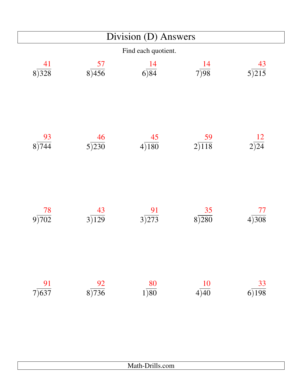|                         |                                      | Division (D) Answers                 |                    |                          |
|-------------------------|--------------------------------------|--------------------------------------|--------------------|--------------------------|
|                         |                                      | Find each quotient.                  |                    |                          |
| 41<br>8)328             | $rac{57}{8}$<br>8)456                | <u>14</u><br>6)84                    | $rac{14}{7}$       | 43<br>$5\overline{)215}$ |
| $\frac{93}{8)744}$      | $\frac{46}{1}$<br>$5\overline{)230}$ | $rac{45}{4)180}$                     | $\frac{59}{2)118}$ | $rac{12}{2)24}$          |
| $\frac{78}{1}$<br>9)702 | 43<br>3)129                          | $\frac{91}{3)273}$                   | 35<br>8)280        | 77<br>4)308              |
| $\frac{91}{7}$          | $\frac{92}{8)736}$                   | $\frac{80}{1\overline{\smash{)}80}}$ | $rac{10}{4)40}$    | $\frac{33}{6)198}$       |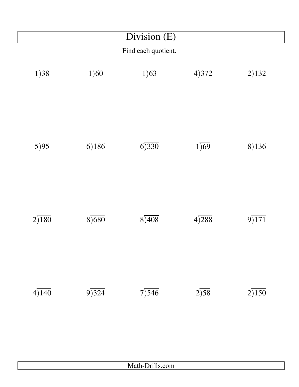|                   |                   | Division (E)        |                   |       |
|-------------------|-------------------|---------------------|-------------------|-------|
|                   |                   | Find each quotient. |                   |       |
| 1)38              | $1\overline{)60}$ | $1\overline{)63}$   | 4)372             | 2)132 |
| $5\overline{)95}$ | 6)186             | 6)330               | $1\overline{)69}$ | 8)136 |
| 2)180             | 8)680             | 8)408               | 4)288             | 9)171 |
| 4)140             | 9)324             | 7)546               | 2)58              | 2)150 |
|                   |                   | Math-Drills.com     |                   |       |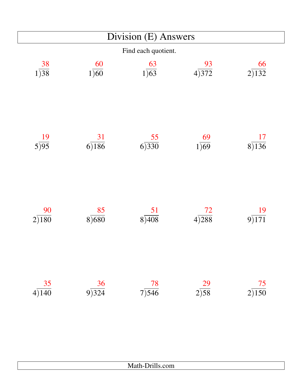| Division (E) Answers          |                         |                    |                    |                    |  |  |  |
|-------------------------------|-------------------------|--------------------|--------------------|--------------------|--|--|--|
|                               | Find each quotient.     |                    |                    |                    |  |  |  |
| 38<br>$1\overline{)38}$       | 60<br>$1\overline{)60}$ | $rac{63}{1)63}$    | $\frac{93}{4)372}$ | 66<br>2)132        |  |  |  |
| $rac{19}{5}$                  | $\frac{31}{6)186}$      | $rac{55}{6}$       | $\frac{69}{1)69}$  | 17<br>8)136        |  |  |  |
| 90<br>2)180                   | 85<br>8)680             | $\frac{51}{8)408}$ | <b>72</b><br>4)288 | 19<br>9)171        |  |  |  |
| $\frac{35}{4\overline{)140}}$ | $\frac{36}{9}$<br>324   | $\frac{78}{7}$     | $\frac{29}{2}$     | $\frac{75}{2)150}$ |  |  |  |

| .<br>$\mathbf{A}$<br>$\mu$ aui-D $\mu$ ins.Com |
|------------------------------------------------|
|                                                |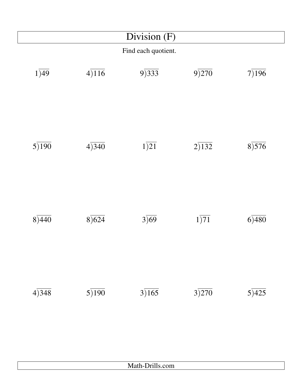|       |       | Find each quotient. |       |       |
|-------|-------|---------------------|-------|-------|
| 1)49  | 4)116 | 9)333               | 9)270 | 7)196 |
| 5)190 | 4)340 | $1\overline{)21}$   | 2)132 | 8)576 |
| 8)440 | 8)624 | 3)69                | 1)71  | 6)480 |
| 4)348 | 5)190 | 3)165               | 3)270 | 5)425 |
|       |       | Math-Drills.com     |       |       |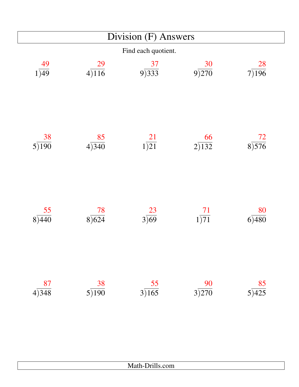|                         | Division (F) Answers             |                   |                         |                                 |  |  |  |
|-------------------------|----------------------------------|-------------------|-------------------------|---------------------------------|--|--|--|
|                         | Find each quotient.              |                   |                         |                                 |  |  |  |
| 49<br>$1\overline{)49}$ | 29<br>4)116                      | $\frac{37}{9}$    | $\frac{30}{9}$<br>9)270 | 28<br>7)196                     |  |  |  |
| 38<br>5)190             | 85<br>4)340                      | $\frac{21}{1)21}$ | 66<br>2)132             | $rac{72}{8}$                    |  |  |  |
| 55<br>8)440             | 78<br>8)624                      | $rac{23}{3)69}$   | $\frac{71}{1)71}$       | 80<br>6)480                     |  |  |  |
| $rac{87}{4)348}$        | $rac{38}{5}$<br>$\frac{38}{190}$ | $rac{55}{3)165}$  | $\frac{90}{3)270}$      | $rac{85}{5}$<br>$\frac{85}{25}$ |  |  |  |

| - - -<br>$1.14$ and $1.11$ , $1.11$ , $1.11$ |
|----------------------------------------------|
|                                              |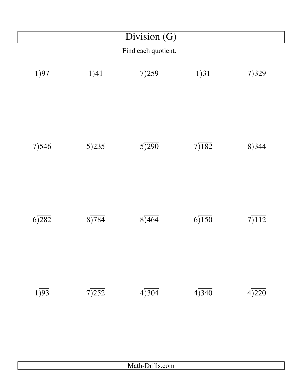|                   |                     | Division $(G)$  |                   |       |  |  |
|-------------------|---------------------|-----------------|-------------------|-------|--|--|
|                   | Find each quotient. |                 |                   |       |  |  |
| $1\overline{)97}$ | $1\overline{)41}$   | 7)259           | $1\overline{)31}$ | 7)329 |  |  |
| 7)546             | $5\overline{)235}$  | 5)290           | 7)182             | 8)344 |  |  |
| 6)282             | 8)784               | 8)464           | 6)150             | 7)112 |  |  |
| $1\overline{)93}$ | 7)252               | 4)304           | 4)340             | 4)220 |  |  |
|                   |                     | Math-Drills.com |                   |       |  |  |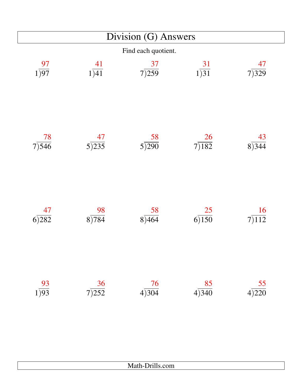|                   |                          | Division (G) Answers           |                    |                  |  |  |  |
|-------------------|--------------------------|--------------------------------|--------------------|------------------|--|--|--|
|                   | Find each quotient.      |                                |                    |                  |  |  |  |
| $\frac{97}{1)97}$ | $\frac{41}{1)41}$        | $rac{37}{7}$<br>$rac{37}{259}$ | $\frac{31}{1)31}$  | 47<br>7)329      |  |  |  |
| $\frac{78}{7}$    | 47<br>$5\overline{)235}$ | $rac{58}{5}$<br>5)290          | $\frac{26}{7}$     | 43<br>8)344      |  |  |  |
| 47<br>6)282       | 98<br>8)784              | $\underline{58}$<br>8)464      | 25<br>6)150        | 16<br>7)112      |  |  |  |
| $\frac{93}{1})93$ | $\frac{36}{7}$           | $rac{76}{4)304}$               | $\frac{85}{4)340}$ | $rac{55}{4)220}$ |  |  |  |

| $\mathbf{r}$ $\mathbf{m}$<br><b>А</b> Г.<br>Math-Drills.com |
|-------------------------------------------------------------|
|                                                             |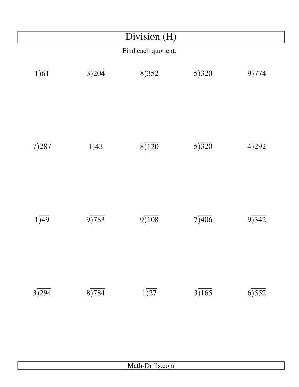|                   |                     | Division (H)      |       |       |  |  |
|-------------------|---------------------|-------------------|-------|-------|--|--|
|                   | Find each quotient. |                   |       |       |  |  |
| $1\overline{)61}$ | 3)204               | 8)352             | 5)320 | 9)774 |  |  |
| 7)287             | 1)43                | 8)120             | 5)320 | 4)292 |  |  |
| 1)49              | 9)783               | 9)108             | 7)406 | 9)342 |  |  |
| 3)294             | 8)784               | $1\overline{)27}$ | 3)165 | 6)552 |  |  |
|                   |                     |                   |       |       |  |  |
|                   |                     | Math-Drills.com   |       |       |  |  |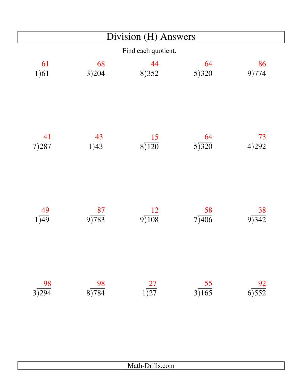|                    | Division (H) Answers |                      |                               |                  |  |  |  |
|--------------------|----------------------|----------------------|-------------------------------|------------------|--|--|--|
|                    | Find each quotient.  |                      |                               |                  |  |  |  |
| $\frac{61}{1)61}$  | 68<br>3)204          | $rac{44}{8}$<br>3352 | $rac{64}{5}$<br>$rac{5}{320}$ | 86<br>9)774      |  |  |  |
| $\frac{41}{7}$     | $rac{43}{1)43}$      | $\frac{15}{8}$       | 64<br>$5\overline{)320}$      | $rac{73}{4)292}$ |  |  |  |
| 49<br>1)49         | 87<br>9)783          | $\frac{12}{9}$       | 58<br>7)406                   | 38<br>9)342      |  |  |  |
| $\frac{98}{3)294}$ | $\frac{98}{8)784}$   | $\frac{27}{1)27}$    | $rac{55}{3)165}$              | $rac{92}{6)552}$ |  |  |  |

| Math-Drills.com |  |
|-----------------|--|
|-----------------|--|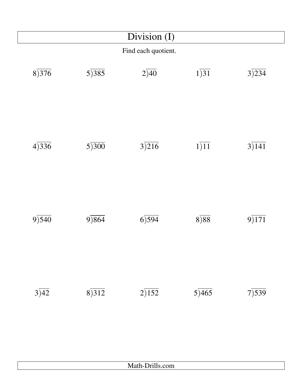| Division (I)      |       |                     |                   |       |
|-------------------|-------|---------------------|-------------------|-------|
|                   |       | Find each quotient. |                   |       |
| 8)376             | 5)385 | 2)40                | $1\overline{)31}$ | 3)234 |
| 4)336             | 5)300 | 3)216               | 1)11              | 3)141 |
| 9)540             | 9)864 | 6)594               | 8)88              | 9)171 |
| $3\overline{)42}$ | 8)312 | 2)152               | 5)465             | 7)539 |
|                   |       | Math-Drills.com     |                   |       |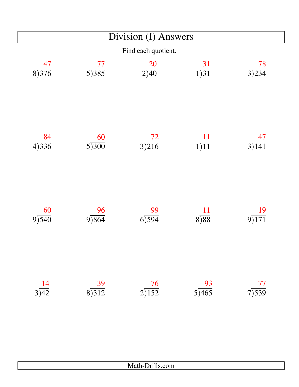| Division (I) Answers |                          |                       |                                   |                  |
|----------------------|--------------------------|-----------------------|-----------------------------------|------------------|
|                      |                          | Find each quotient.   |                                   |                  |
| 47<br>8)376          | 77<br>5)385              | $\frac{20}{2)40}$     | $\frac{31}{1)31}$                 | 78<br>3)234      |
| $rac{84}{4)336}$     | 60<br>$5\overline{)300}$ | $rac{72}{3}$<br>3)216 | $\frac{11}{1)11}$                 | $rac{47}{3)141}$ |
| 60<br>9)540          | 9)864                    | 99<br>6)594           | 11<br>8)88                        | 19<br>9)171      |
| $rac{14}{3)42}$      | $\frac{39}{8}$<br>312    | $\frac{76}{2}$        | $rac{93}{5}$<br>$\frac{93}{1465}$ | $\frac{77}{7}$   |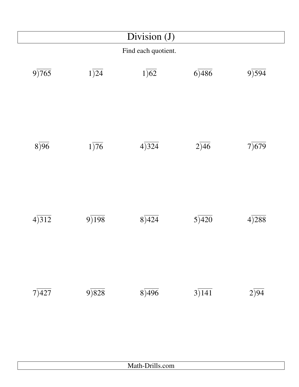| Division (J)        |                   |                   |       |       |
|---------------------|-------------------|-------------------|-------|-------|
| Find each quotient. |                   |                   |       |       |
| 9)765               | $1\overline{)24}$ | $1\overline{)62}$ | 6)486 | 9)594 |
| 8)96                | $1\overline{)76}$ | 4)324             | 2)46  | 7)679 |
| 4)312               | 9)198             | 8)424             | 5)420 | 4)288 |
| 7)427               | 9)828             | 8)496             | 3)141 | 2)94  |
|                     |                   | Math-Drills.com   |       |       |